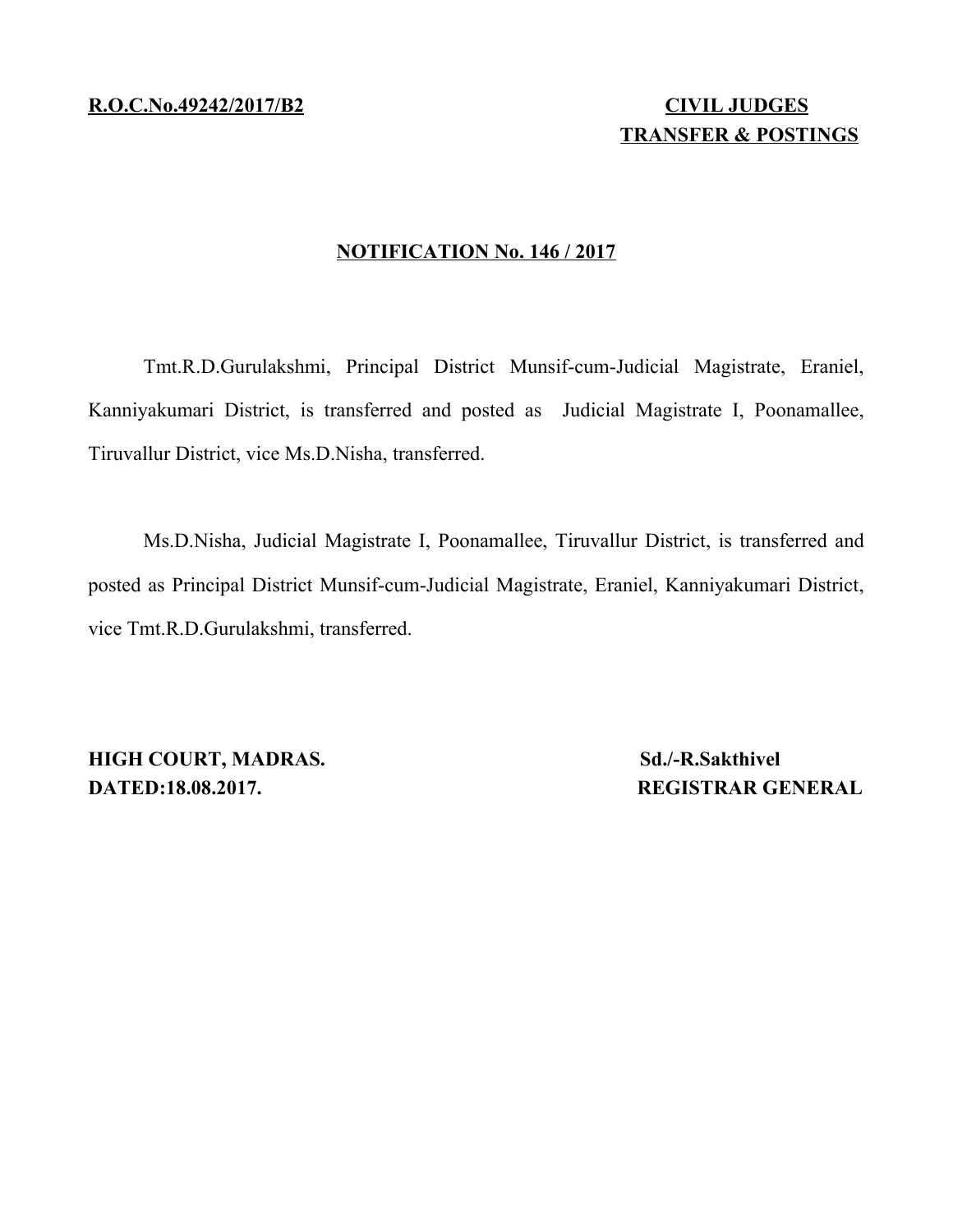**R.O.C.No.49242/2017/B2 CIVIL JUDGES** 

## **TRANSFER & POSTINGS**

## **NOTIFICATION No. 146 / 2017**

Tmt.R.D.Gurulakshmi, Principal District Munsif-cum-Judicial Magistrate, Eraniel, Kanniyakumari District, is transferred and posted as Judicial Magistrate I, Poonamallee, Tiruvallur District, vice Ms.D.Nisha, transferred.

Ms.D.Nisha, Judicial Magistrate I, Poonamallee, Tiruvallur District, is transferred and posted as Principal District Munsif-cum-Judicial Magistrate, Eraniel, Kanniyakumari District, vice Tmt.R.D.Gurulakshmi, transferred.

**HIGH COURT, MADRAS.** Sd./-R.Sakthivel **DATED:18.08.2017.** REGISTRAR GENERAL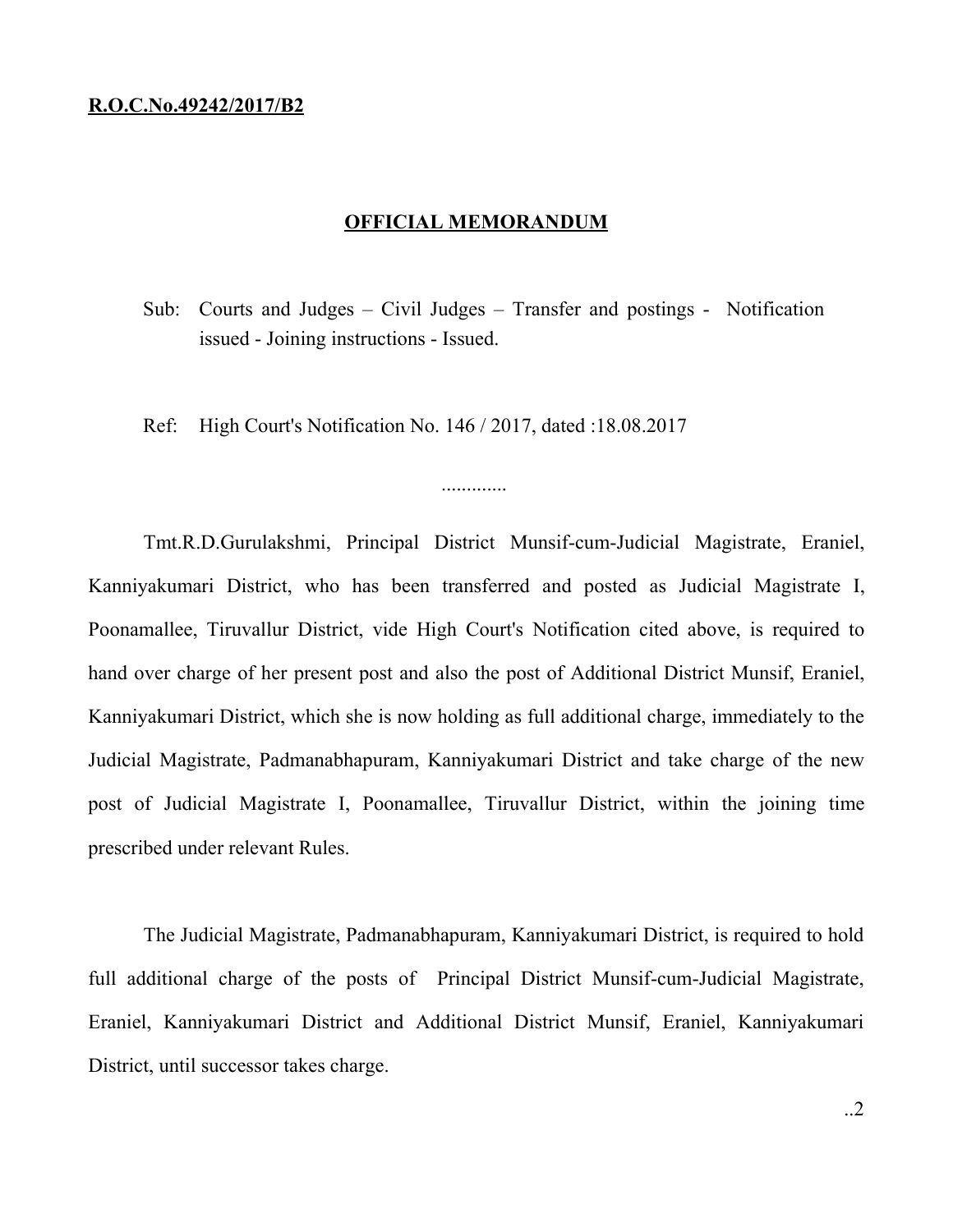## **R.O.C.No.49242/2017/B2**

## **OFFICIAL MEMORANDUM**

Sub: Courts and Judges – Civil Judges – Transfer and postings - Notification issued - Joining instructions - Issued.

.............

Ref: High Court's Notification No. 146 / 2017, dated :18.08.2017

Tmt.R.D.Gurulakshmi, Principal District Munsif-cum-Judicial Magistrate, Eraniel, Kanniyakumari District, who has been transferred and posted as Judicial Magistrate I, Poonamallee, Tiruvallur District, vide High Court's Notification cited above, is required to hand over charge of her present post and also the post of Additional District Munsif, Eraniel, Kanniyakumari District, which she is now holding as full additional charge, immediately to the Judicial Magistrate, Padmanabhapuram, Kanniyakumari District and take charge of the new post of Judicial Magistrate I, Poonamallee, Tiruvallur District, within the joining time prescribed under relevant Rules.

The Judicial Magistrate, Padmanabhapuram, Kanniyakumari District, is required to hold full additional charge of the posts of Principal District Munsif-cum-Judicial Magistrate, Eraniel, Kanniyakumari District and Additional District Munsif, Eraniel, Kanniyakumari District, until successor takes charge.